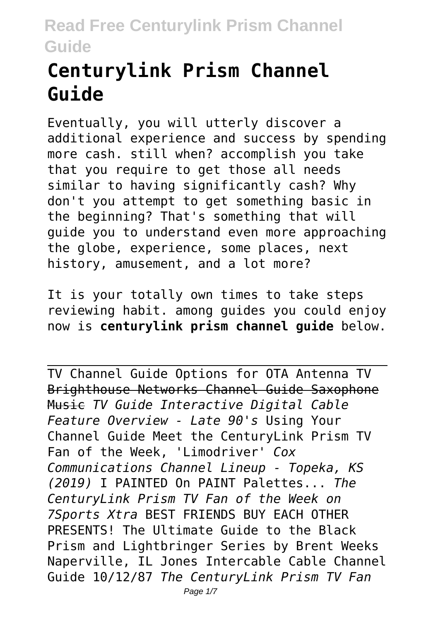# **Centurylink Prism Channel Guide**

Eventually, you will utterly discover a additional experience and success by spending more cash. still when? accomplish you take that you require to get those all needs similar to having significantly cash? Why don't you attempt to get something basic in the beginning? That's something that will guide you to understand even more approaching the globe, experience, some places, next history, amusement, and a lot more?

It is your totally own times to take steps reviewing habit. among guides you could enjoy now is **centurylink prism channel guide** below.

TV Channel Guide Options for OTA Antenna TV Brighthouse Networks Channel Guide Saxophone Music *TV Guide Interactive Digital Cable Feature Overview - Late 90's* Using Your Channel Guide Meet the CenturyLink Prism TV Fan of the Week, 'Limodriver' *Cox Communications Channel Lineup - Topeka, KS (2019)* I PAINTED On PAINT Palettes... *The CenturyLink Prism TV Fan of the Week on 7Sports Xtra* BEST FRIENDS BUY EACH OTHER PRESENTS! The Ultimate Guide to the Black Prism and Lightbringer Series by Brent Weeks Naperville, IL Jones Intercable Cable Channel Guide 10/12/87 *The CenturyLink Prism TV Fan* Page  $1/7$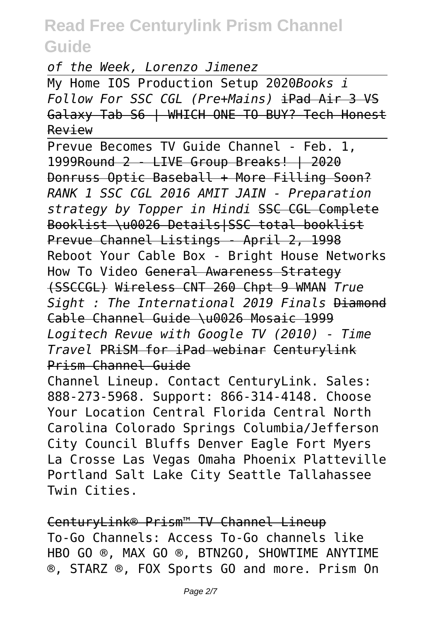*of the Week, Lorenzo Jimenez*

My Home IOS Production Setup 2020*Books i Follow For SSC CGL (Pre+Mains)* iPad Air 3 VS Galaxy Tab S6 | WHICH ONE TO BUY? Tech Honest Review

Prevue Becomes TV Guide Channel - Feb. 1, 1999Round 2 - LIVE Group Breaks! | 2020 Donruss Optic Baseball + More Filling Soon? *RANK 1 SSC CGL 2016 AMIT JAIN - Preparation strategy by Topper in Hindi* SSC CGL Complete Booklist \u0026 Details|SSC total booklist Prevue Channel Listings - April 2, 1998 Reboot Your Cable Box - Bright House Networks How To Video General Awareness Strategy (SSCCGL) Wireless CNT 260 Chpt 9 WMAN *True Sight : The International 2019 Finals* Diamond Cable Channel Guide \u0026 Mosaic 1999 *Logitech Revue with Google TV (2010) - Time Travel* PRiSM for iPad webinar Centurylink Prism Channel Guide Channel Lineup. Contact CenturyLink. Sales:

888-273-5968. Support: 866-314-4148. Choose Your Location Central Florida Central North Carolina Colorado Springs Columbia/Jefferson City Council Bluffs Denver Eagle Fort Myers La Crosse Las Vegas Omaha Phoenix Platteville Portland Salt Lake City Seattle Tallahassee Twin Cities.

CenturyLink® Prism™ TV Channel Lineup To-Go Channels: Access To-Go channels like HBO GO ®, MAX GO ®, BTN2GO, SHOWTIME ANYTIME ®, STARZ ®, FOX Sports GO and more. Prism On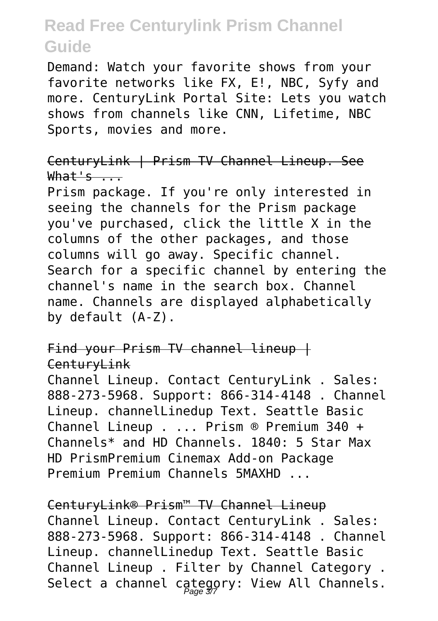Demand: Watch your favorite shows from your favorite networks like FX, E!, NBC, Syfy and more. CenturyLink Portal Site: Lets you watch shows from channels like CNN, Lifetime, NBC Sports, movies and more.

CenturyLink | Prism TV Channel Lineup. See  $What's ...$ 

Prism package. If you're only interested in seeing the channels for the Prism package you've purchased, click the little X in the columns of the other packages, and those columns will go away. Specific channel. Search for a specific channel by entering the channel's name in the search box. Channel name. Channels are displayed alphabetically by default (A-Z).

Find your Prism TV channel lineup | CenturyLink

Channel Lineup. Contact CenturyLink . Sales: 888-273-5968. Support: 866-314-4148 . Channel Lineup. channelLinedup Text. Seattle Basic Channel Lineup . ... Prism ® Premium 340 + Channels\* and HD Channels. 1840: 5 Star Max HD PrismPremium Cinemax Add-on Package Premium Premium Channels 5MAXHD ...

CenturyLink® Prism™ TV Channel Lineup Channel Lineup. Contact CenturyLink . Sales: 888-273-5968. Support: 866-314-4148 . Channel Lineup. channelLinedup Text. Seattle Basic Channel Lineup . Filter by Channel Category . Select a channel category: View All Channels.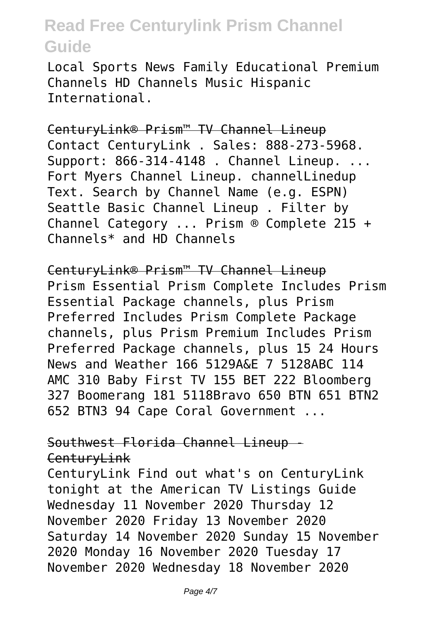Local Sports News Family Educational Premium Channels HD Channels Music Hispanic International.

CenturyLink® Prism™ TV Channel Lineup Contact CenturyLink . Sales: 888-273-5968. Support: 866-314-4148 . Channel Lineup. ... Fort Myers Channel Lineup. channelLinedup Text. Search by Channel Name (e.g. ESPN) Seattle Basic Channel Lineup . Filter by Channel Category ... Prism ® Complete 215 + Channels\* and HD Channels

CenturyLink® Prism™ TV Channel Lineup Prism Essential Prism Complete Includes Prism Essential Package channels, plus Prism Preferred Includes Prism Complete Package channels, plus Prism Premium Includes Prism Preferred Package channels, plus 15 24 Hours News and Weather 166 5129A&E 7 5128ABC 114 AMC 310 Baby First TV 155 BET 222 Bloomberg 327 Boomerang 181 5118Bravo 650 BTN 651 BTN2 652 BTN3 94 Cape Coral Government ...

#### Southwest Florida Channel Lineup - CenturyLink

CenturyLink Find out what's on CenturyLink tonight at the American TV Listings Guide Wednesday 11 November 2020 Thursday 12 November 2020 Friday 13 November 2020 Saturday 14 November 2020 Sunday 15 November 2020 Monday 16 November 2020 Tuesday 17 November 2020 Wednesday 18 November 2020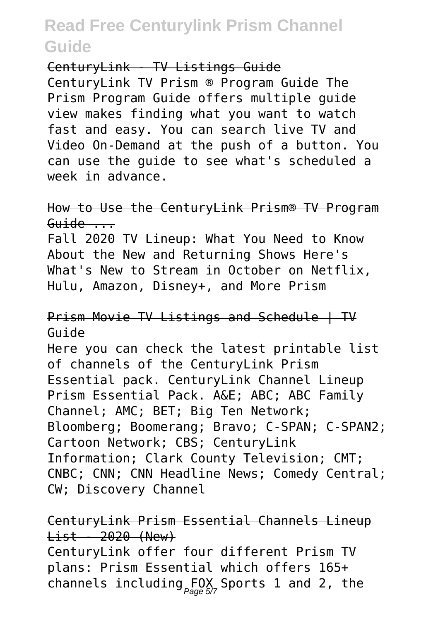CenturyLink - TV Listings Guide

CenturyLink TV Prism ® Program Guide The Prism Program Guide offers multiple guide view makes finding what you want to watch fast and easy. You can search live TV and Video On-Demand at the push of a button. You can use the guide to see what's scheduled a week in advance.

How to Use the CenturyLink Prism® TV Program  $Guide$  ...

Fall 2020 TV Lineup: What You Need to Know About the New and Returning Shows Here's What's New to Stream in October on Netflix, Hulu, Amazon, Disney+, and More Prism

#### Prism Movie TV Listings and Schedule | TV Guide

Here you can check the latest printable list of channels of the CenturyLink Prism Essential pack. CenturyLink Channel Lineup Prism Essential Pack. A&E; ABC; ABC Family Channel; AMC; BET; Big Ten Network; Bloomberg; Boomerang; Bravo; C-SPAN; C-SPAN2; Cartoon Network; CBS; CenturyLink Information; Clark County Television; CMT; CNBC; CNN; CNN Headline News; Comedy Central; CW; Discovery Channel

### CenturyLink Prism Essential Channels Lineup List - 2020 (New)

CenturyLink offer four different Prism TV plans: Prism Essential which offers 165+ channels including  $F_{\textit{Page 57}}^{\textit{D}}$  Sports 1 and 2, the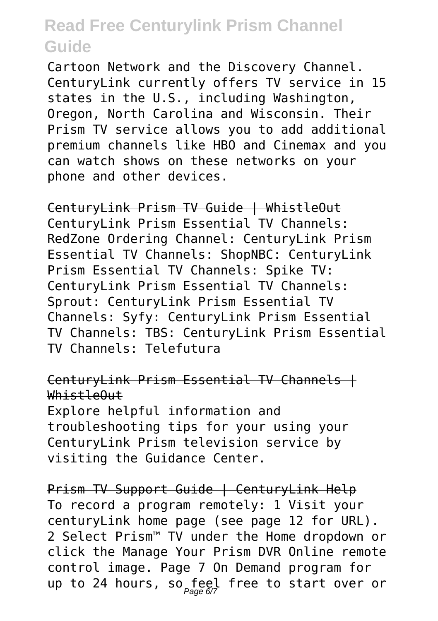Cartoon Network and the Discovery Channel. CenturyLink currently offers TV service in 15 states in the U.S., including Washington, Oregon, North Carolina and Wisconsin. Their Prism TV service allows you to add additional premium channels like HBO and Cinemax and you can watch shows on these networks on your phone and other devices.

CenturyLink Prism TV Guide | WhistleOut CenturyLink Prism Essential TV Channels: RedZone Ordering Channel: CenturyLink Prism Essential TV Channels: ShopNBC: CenturyLink Prism Essential TV Channels: Spike TV: CenturyLink Prism Essential TV Channels: Sprout: CenturyLink Prism Essential TV Channels: Syfy: CenturyLink Prism Essential TV Channels: TBS: CenturyLink Prism Essential TV Channels: Telefutura

#### CenturyLink Prism Essential TV Channels + WhistleOut

Explore helpful information and troubleshooting tips for your using your CenturyLink Prism television service by visiting the Guidance Center.

Prism TV Support Guide | CenturyLink Help To record a program remotely: 1 Visit your centuryLink home page (see page 12 for URL). 2 Select Prism™ TV under the Home dropdown or click the Manage Your Prism DVR Online remote control image. Page 7 On Demand program for up to 24 hours, so feel free to start over or